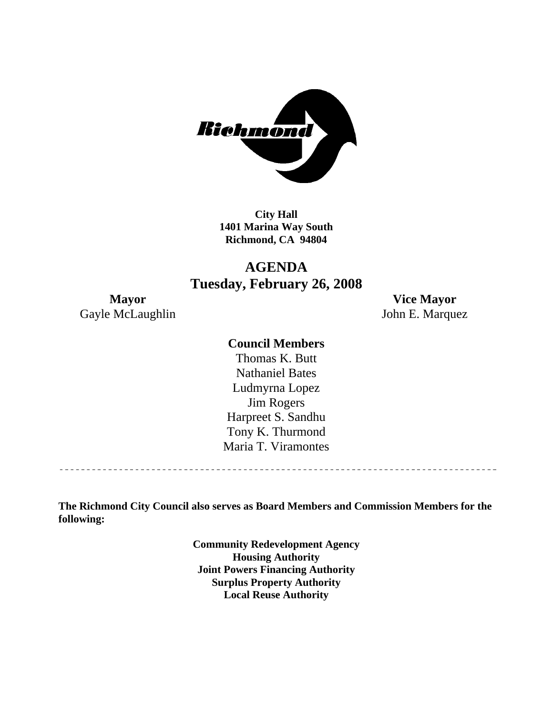

**City Hall 1401 Marina Way South Richmond, CA 94804** 

# **AGENDA Tuesday, February 26, 2008**

Gayle McLaughlin John E. Marquez

**Mayor Vice Mayor** 

# **Council Members**

Harpreet S. Sandhu Tony K. Thurmond Maria T. Viramontes Thomas K. Butt Nathaniel Bates Ludmyrna Lopez Jim Rogers

**The Richmond City Council also serves as Board Members and Commission Members for the following:** 

> **Community Redevelopment Agency Housing Authority Joint Powers Financing Authority Surplus Property Authority Local Reuse Authority**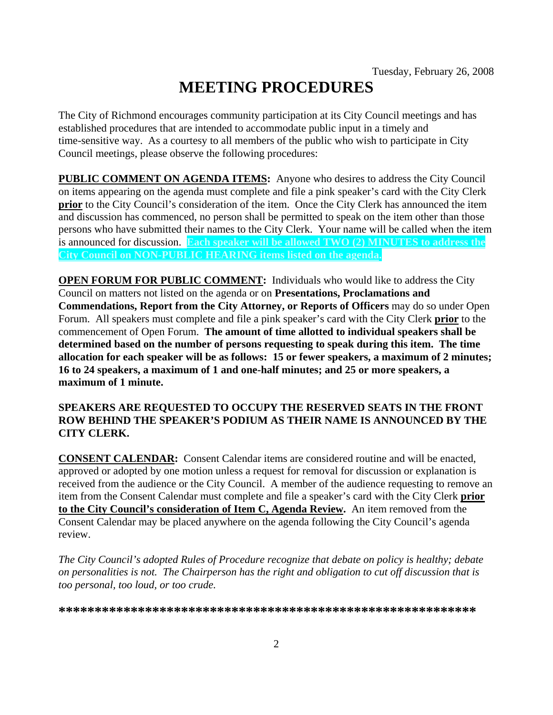# **MEETING PROCEDURES**

The City of Richmond encourages community participation at its City Council meetings and has established procedures that are intended to accommodate public input in a timely and time-sensitive way. As a courtesy to all members of the public who wish to participate in City Council meetings, please observe the following procedures:

**PUBLIC COMMENT ON AGENDA ITEMS:** Anyone who desires to address the City Council on items appearing on the agenda must complete and file a pink speaker's card with the City Clerk **prior** to the City Council's consideration of the item. Once the City Clerk has announced the item and discussion has commenced, no person shall be permitted to speak on the item other than those persons who have submitted their names to the City Clerk. Your name will be called when the item is announced for discussion. **Each speaker will be allowed TWO (2) MINUTES to address the City Council on NON-PUBLIC HEARING items listed on the agenda.** 

**OPEN FORUM FOR PUBLIC COMMENT:** Individuals who would like to address the City Council on matters not listed on the agenda or on **Presentations, Proclamations and Commendations, Report from the City Attorney, or Reports of Officers** may do so under Open Forum. All speakers must complete and file a pink speaker's card with the City Clerk **prior** to the commencement of Open Forum. **The amount of time allotted to individual speakers shall be determined based on the number of persons requesting to speak during this item. The time allocation for each speaker will be as follows: 15 or fewer speakers, a maximum of 2 minutes; 16 to 24 speakers, a maximum of 1 and one-half minutes; and 25 or more speakers, a maximum of 1 minute.** 

#### **SPEAKERS ARE REQUESTED TO OCCUPY THE RESERVED SEATS IN THE FRONT ROW BEHIND THE SPEAKER'S PODIUM AS THEIR NAME IS ANNOUNCED BY THE CITY CLERK.**

**CONSENT CALENDAR:** Consent Calendar items are considered routine and will be enacted, approved or adopted by one motion unless a request for removal for discussion or explanation is received from the audience or the City Council. A member of the audience requesting to remove an item from the Consent Calendar must complete and file a speaker's card with the City Clerk **prior to the City Council's consideration of Item C, Agenda Review.** An item removed from the Consent Calendar may be placed anywhere on the agenda following the City Council's agenda review.

*The City Council's adopted Rules of Procedure recognize that debate on policy is healthy; debate on personalities is not. The Chairperson has the right and obligation to cut off discussion that is too personal, too loud, or too crude.* 

**\*\*\*\*\*\*\*\*\*\*\*\*\*\*\*\*\*\*\*\*\*\*\*\*\*\*\*\*\*\*\*\*\*\*\*\*\*\*\*\*\*\*\*\*\*\*\*\*\*\*\*\*\*\*\*\*\*\***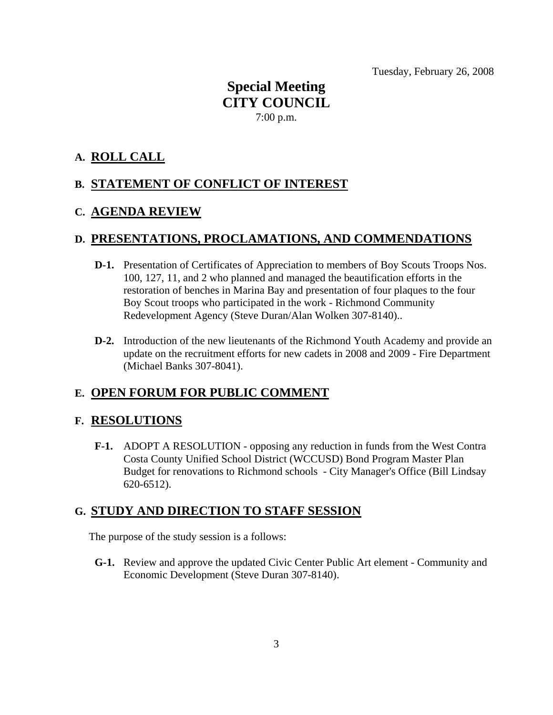Tuesday, February 26, 2008

# **Special Meeting CITY COUNCIL**  7:00 p.m.

# **A. ROLL CALL**

# **B. STATEMENT OF CONFLICT OF INTEREST**

# **C. AGENDA REVIEW**

# **D. PRESENTATIONS, PROCLAMATIONS, AND COMMENDATIONS**

- **D-1.** Presentation of Certificates of Appreciation to members of Boy Scouts Troops Nos. 100, 127, 11, and 2 who planned and managed the beautification efforts in the restoration of benches in Marina Bay and presentation of four plaques to the four Boy Scout troops who participated in the work - Richmond Community Redevelopment Agency (Steve Duran/Alan Wolken 307-8140)..
- **D-2.** Introduction of the new lieutenants of the Richmond Youth Academy and provide an update on the recruitment efforts for new cadets in 2008 and 2009 - Fire Department (Michael Banks 307-8041).

# **E. OPEN FORUM FOR PUBLIC COMMENT**

# **F. RESOLUTIONS**

 **F-1.** ADOPT A RESOLUTION - opposing any reduction in funds from the West Contra Costa County Unified School District (WCCUSD) Bond Program Master Plan Budget for renovations to Richmond schools - City Manager's Office (Bill Lindsay 620-6512).

# **G. STUDY AND DIRECTION TO STAFF SESSION**

The purpose of the study session is a follows:

 **G-1.** Review and approve the updated Civic Center Public Art element - Community and Economic Development (Steve Duran 307-8140).